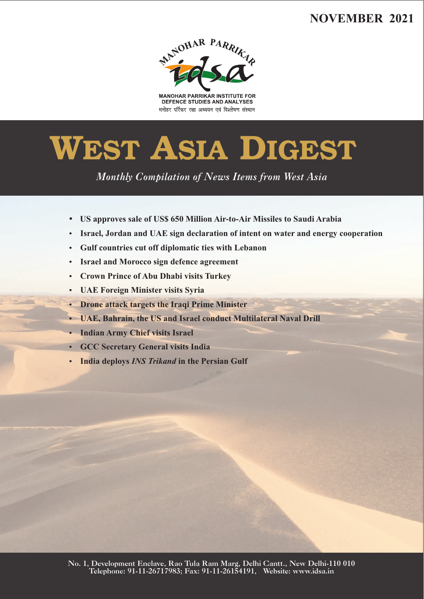# **NOVEMBER 2021**



**MANOHAR PARRIKAR INSTITUTE FOR** DEFENCE STUDIES AND ANALYSES मनोहर पर्रिकर रक्षा अध्ययन एवं विश्लेषण संस्थान

# **WEST ASIA DIGEST**

*Monthly Compilation of News Items from West Asia* 

- ?**US approves sale of US\$ 650 Million Air-to-Air Missiles to Saudi Arabia**
- **Israel, Jordan and UAE sign declaration of intent on water and energy cooperation**
- **Gulf countries cut off diplomatic ties with Lebanon**
- **Israel and Morocco sign defence agreement**
- **Crown Prince of Abu Dhabi visits Turkey**
- **UAE Foreign Minister visits Syria**
- **Drone attack targets the Iraqi Prime Minister**
- **UAE, Bahrain, the US and Israel conduct Multilateral Naval Drill**
- **Indian Army Chief visits Israel**
- **GCC Secretary General visits India**
- **India deploys** *INS Trikand* **in the Persian Gulf** • Israel, J<br>• Gulf court<br>• Israel and • Crown 1<br>• UAE Fc<br>• Drone a<br>• UAE, B<br>• Indian 4<br>• GCC Se<br>• India de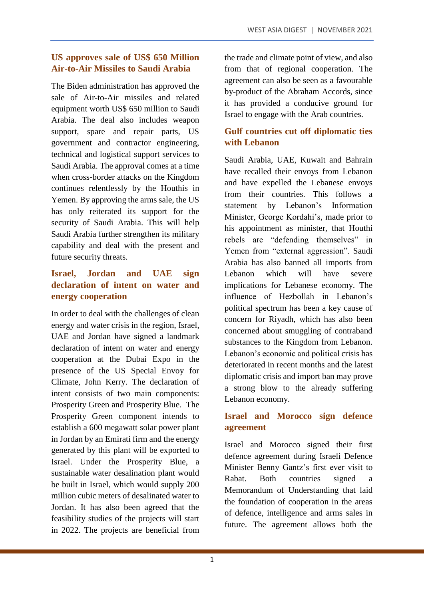# **US approves sale of US\$ 650 Million Air-to-Air Missiles to Saudi Arabia**

The Biden administration has approved the sale of Air-to-Air missiles and related equipment worth US\$ 650 million to Saudi Arabia. The deal also includes weapon support, spare and repair parts, US government and contractor engineering, technical and logistical support services to Saudi Arabia. The approval comes at a time when cross-border attacks on the Kingdom continues relentlessly by the Houthis in Yemen. By approving the arms sale, the US has only reiterated its support for the security of Saudi Arabia. This will help Saudi Arabia further strengthen its military capability and deal with the present and future security threats.

# **Israel, Jordan and UAE sign declaration of intent on water and energy cooperation**

In order to deal with the challenges of clean energy and water crisis in the region, Israel, UAE and Jordan have signed a landmark declaration of intent on water and energy cooperation at the Dubai Expo in the presence of the US Special Envoy for Climate, John Kerry. The declaration of intent consists of two main components: Prosperity Green and Prosperity Blue. The Prosperity Green component intends to establish a 600 megawatt solar power plant in Jordan by an Emirati firm and the energy generated by this plant will be exported to Israel. Under the Prosperity Blue, a sustainable water desalination plant would be built in Israel, which would supply 200 million cubic meters of desalinated water to Jordan. It has also been agreed that the feasibility studies of the projects will start in 2022. The projects are beneficial from the trade and climate point of view, and also from that of regional cooperation. The agreement can also be seen as a favourable by-product of the Abraham Accords, since it has provided a conducive ground for Israel to engage with the Arab countries.

# **Gulf countries cut off diplomatic ties with Lebanon**

Saudi Arabia, UAE, Kuwait and Bahrain have recalled their envoys from Lebanon and have expelled the Lebanese envoys from their countries. This follows a statement by Lebanon's Information Minister, George Kordahi's, made prior to his appointment as minister, that Houthi rebels are "defending themselves" in Yemen from "external aggression". Saudi Arabia has also banned all imports from Lebanon which will have severe implications for Lebanese economy. The influence of Hezbollah in Lebanon's political spectrum has been a key cause of concern for Riyadh, which has also been concerned about smuggling of contraband substances to the Kingdom from Lebanon. Lebanon's economic and political crisis has deteriorated in recent months and the latest diplomatic crisis and import ban may prove a strong blow to the already suffering Lebanon economy.

# **Israel and Morocco sign defence agreement**

Israel and Morocco signed their first defence agreement during Israeli Defence Minister Benny Gantz's first ever visit to Rabat. Both countries signed a Memorandum of Understanding that laid the foundation of cooperation in the areas of defence, intelligence and arms sales in future. The agreement allows both the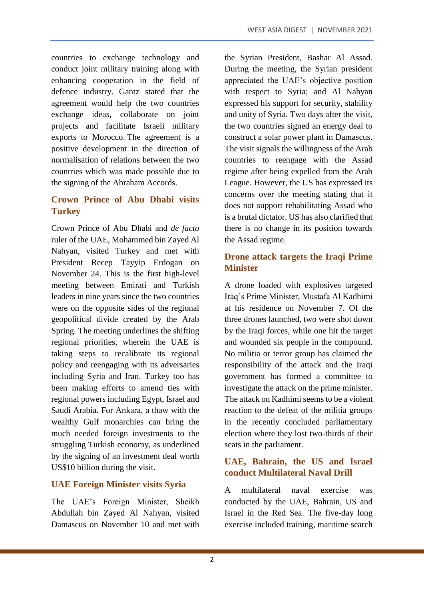countries to exchange technology and conduct joint military training along with enhancing cooperation in the field of defence industry. Gantz stated that the agreement would help the two countries exchange ideas, collaborate on joint projects and facilitate Israeli military exports to Morocco. The agreement is a positive development in the direction of normalisation of relations between the two countries which was made possible due to the signing of the Abraham Accords.

# **Crown Prince of Abu Dhabi visits Turkey**

Crown Prince of Abu Dhabi and *de facto* ruler of the UAE, Mohammed bin Zayed Al Nahyan, visited Turkey and met with President Recep Tayyip Erdogan on November 24. This is the first high-level meeting between Emirati and Turkish leaders in nine years since the two countries were on the opposite sides of the regional geopolitical divide created by the Arab Spring. The meeting underlines the shifting regional priorities, wherein the UAE is taking steps to recalibrate its regional policy and reengaging with its adversaries including Syria and Iran. Turkey too has been making efforts to amend ties with regional powers including Egypt, Israel and Saudi Arabia. For Ankara, a thaw with the wealthy Gulf monarchies can bring the much needed foreign investments to the struggling Turkish economy, as underlined by the signing of an investment deal worth US\$10 billion during the visit.

#### **UAE Foreign Minister visits Syria**

The UAE's Foreign Minister, Sheikh Abdullah bin Zayed Al Nahyan, visited Damascus on November 10 and met with the Syrian President, Bashar Al Assad. During the meeting, the Syrian president appreciated the UAE's objective position with respect to Syria; and Al Nahyan expressed his support for security, stability and unity of Syria. Two days after the visit, the two countries signed an energy deal to construct a solar power plant in Damascus. The visit signals the willingness of the Arab countries to reengage with the Assad regime after being expelled from the Arab League. However, the US has expressed its concerns over the meeting stating that it does not support rehabilitating Assad who is a brutal dictator. US has also clarified that there is no change in its position towards the Assad regime.

# **Drone attack targets the Iraqi Prime Minister**

A drone loaded with explosives targeted Iraq's Prime Minister, Mustafa Al Kadhimi at his residence on November 7. Of the three drones launched, two were shot down by the Iraqi forces, while one hit the target and wounded six people in the compound. No militia or terror group has claimed the responsibility of the attack and the Iraqi government has formed a committee to investigate the attack on the prime minister. The attack on Kadhimi seems to be a violent reaction to the defeat of the militia groups in the recently concluded parliamentary election where they lost two-thirds of their seats in the parliament.

# **UAE, Bahrain, the US and Israel conduct Multilateral Naval Drill**

A multilateral naval exercise was conducted by the UAE, Bahrain, US and Israel in the Red Sea. The five-day long exercise included training, maritime search